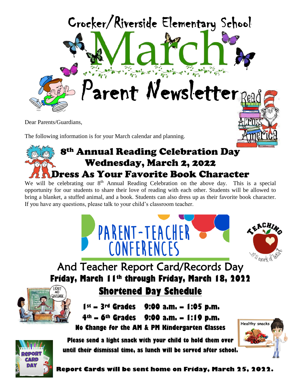

Dear Parents/Guardians,

The following information is for your March calendar and planning.

## 8th Annual Reading Celebration Day Wednesday, March 2, 2022 Dress As Your Favorite Book Character

We will be celebrating our 8<sup>th</sup> Annual Reading Celebration on the above day. This is a special opportunity for our students to share their love of reading with each other. Students will be allowed to bring a blanket, a stuffed animal, and a book. Students can also dress up as their favorite book character. If you have any questions, please talk to your child's classroom teacher.





And Teacher Report Card/Records Day **Friday, March 11th through Friday, March 18, 2022**



**Shortened Day Schedule**

**1st – 3rd Grades 9:00 a.m. – 1:05 p.m. 4th – 6th Grades 9:00 a.m. – 1:19 p.m. No Change for the AM & PM Kindergarten Classes**

**Please send a light snack with your child to hold them over until their dismissal time, as lunch will be served after school.**





**Report Cards will be sent home on Friday, March 25, 2022.**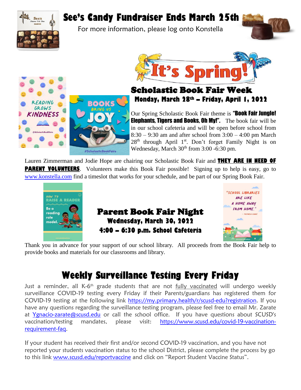**INDNESS** 

ľ

# **See's Candy Fundraiser Ends March 25th**

For more information, please log onto Konstella





## Scholastic Book Fair Week **Monday, March 28th – Friday, April 1, 2022**

Our Spring Scholastic Book Fair theme is "Book Fair Jungle! **Elephants, Tigers and Books, Oh My!".** The book fair will be in our school cafeteria and will be open before school from 8:30 – 9:30 am and after school from 3:00 – 4:00 pm March 28<sup>th</sup> through April 1<sup>st</sup>. Don't forget Family Night is on Wednesday, March 30<sup>th</sup> from 3:00 -6:30 pm.

Lauren Zimmerman and Jodie Hope are chairing our Scholastic Book Fair and **THEY ARE IN NEED OF PARENT VOLUNTEERS**. Volunteers make this Book Fair possible! Signing up to help is easy, go to [www.konstella.com](http://www.konstella.com/) find a timeslot that works for your schedule, and be part of our Spring Book Fair.



#ScholasticBookFairs

Parent Book Fair Night **Wednesday, March 30, 2022 4:00 – 6:30 p.m. School Cafeteria**



Thank you in advance for your support of our school library. All proceeds from the Book Fair help to provide books and materials for our classrooms and library.

## **Weekly Surveillance Testing Every Friday**

Just a reminder, all K-6<sup>th</sup> grade students that are not <u>fully vaccinated</u> will undergo weekly surveillance COVID-19 testing every Friday if their Parents/guardians has registered them for COVID-19 testing at the following link [https://my.primary.health/r/scusd-edu?registration.](https://my.primary.health/r/scusd-edu?registration) If you have any questions regarding the surveillance testing program, please feel free to email Mr. Zarate at [Ygnacio-zarate@scusd.edu](mailto:Ygnacio-zarate@scusd.edu) or call the school office. If you have questions about SCUSD's vaccination/testing mandates, please visit: [https://www.scusd.edu/covid-19-vaccination](https://www.scusd.edu/covid-19-vaccination-requirement-faq)[requirement-faq.](https://www.scusd.edu/covid-19-vaccination-requirement-faq)

If your student has received their first and/or second COVID-19 vaccination, and you have not reported your students vaccination status to the school District, please complete the process by go to this link [www.scusd.edu/reportvaccine](http://www.scusd.edu/reportvaccine) and click on "Report Student Vaccine Status".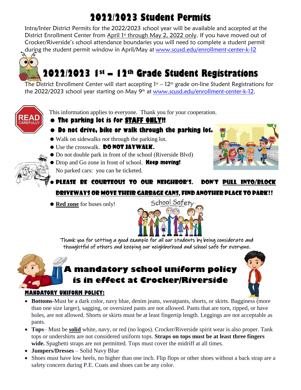# **2022/2023 Student Permits**

Intra/Inter District Permits for the 2022/2023 school year will be available and accepted at the District Enrollment Center from April 1<sup>st</sup> through May 2, 2022 only. If you have moved out of Crocker/Riverside's school attendance boundaries you will need to complete a student permit during the student permit window in April/May at <u>[www.scusd.edu/enrollment-center-k-12](http://www.scusd.edu/enrollment-center-k-12)</u><br>৯ *ବ* 



# **2022/2023 1st – 12th Grade Student Registrations**

The District Enrollment Center will start accepting  $1<sup>st</sup> - 12<sup>th</sup>$  grade on-line Student Registrations for the 2022/2023 school year starting on May 9<sup>th</sup> at [www.scusd.edu/enrollment-center-k-12.](http://www.scusd.edu/enrollment-center-k-12)



This information applies to everyone. Thank you for your cooperation.

- **The parking lot is for STAFF ONLY!!**
- **Do not drive, bike or walk through the parking lot.**
- Walk on sidewalks *not* through the parking lot.
- **Use the crosswalk. DO NOT JAYWALK.**
- Do not double park in front of the school (Riverside Blvd)
- Drop and Go zone in front of school. **Keep moving!**
	- No parked cars: you can be ticketed.



## Please be courteous to our neighbor's. Don't pull into/block driveways or move their garbage cans, find another place to park!!

**• Red zone** for buses only!



Thank you for setting a good example for all our students by being considerate and thoughtful of others and keeping our neighborhood and school safe for everyone.

## **A mandatory school uniform policy is in effect at Crocker/Riverside**



### **MANDATORY UNIFORM POLICY:**

- **Bottoms-**Must be a dark color, navy blue, denim jeans, sweatpants, shorts, or skirts. Bagginess (more than one size larger), sagging, or oversized pants are not allowed. Pants that are torn, ripped, or have holes, are not allowed. Shorts or skirts must be at least fingertip length. Leggings are not acceptable as pants.
- **Tops** Must be **solid** white, navy, or red (no logos). Crocker/Riverside spirit wear is also proper. Tank tops or undershirts are not considered uniform tops. **Straps on tops must be at least three fingers wide.** Spaghetti straps are not permitted. Tops must cover the midriff at all times.
- **Jumpers/Dresses**  Solid Navy Blue
- Shoes must have low heels, no higher than one inch. Flip flops or other shoes without a back strap are a safety concern during P.E. Coats and shoes can be any color.